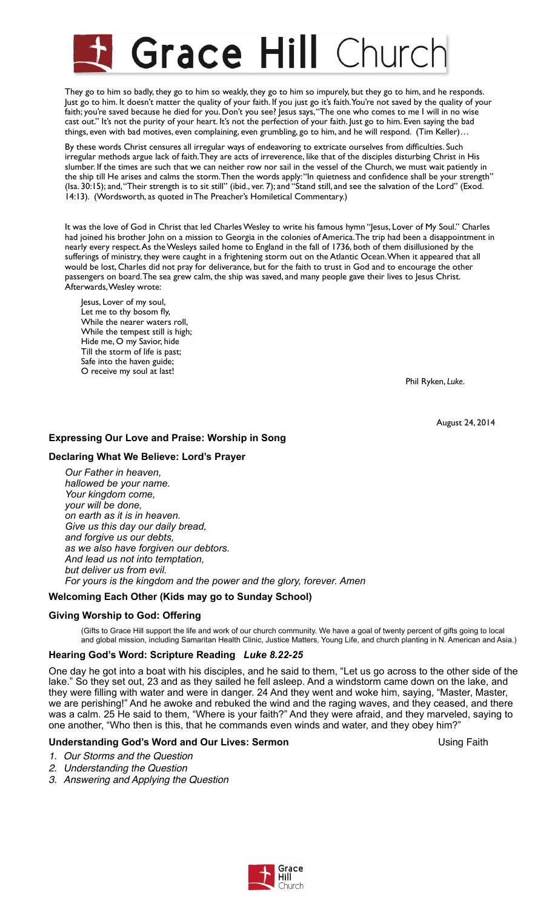# **Grace Hill Churcl**

They go to him so badly, they go to him so weakly, they go to him so impurely, but they go to him, and he responds. Just go to him. It doesn't matter the quality of your faith. If you just go it's faith. You're not saved by the quality of your faith; you're saved because he died for you. Don't you see? Jesus says, "The one who comes to me I will in no wise cast out." It's not the purity of your heart. It's not the perfection of your faith. Just go to him. Even saying the bad things, even with bad motives, even complaining, even grumbling, go to him, and he will respond. (Tim Keller)…

By these words Christ censures all irregular ways of endeavoring to extricate ourselves from difficulties. Such irregular methods argue lack of faith. They are acts of irreverence, like that of the disciples disturbing Christ in His slumber. If the times are such that we can neither row nor sail in the vessel of the Church, we must wait patiently in the ship till He arises and calms the storm. Then the words apply: "In quietness and confidence shall be your strength" (Isa. 30:15); and, "Their strength is to sit still" (ibid., ver. 7); and "Stand still, and see the salvation of the Lord" (Exod. 14:13). (Wordsworth, as quoted in The Preacher's Homiletical Commentary.)

It was the love of God in Christ that led Charles Wesley to write his famous hymn "Jesus, Lover of My Soul." Charles had joined his brother John on a mission to Georgia in the colonies of America. The trip had been a disappointment in nearly every respect. As the Wesleys sailed home to England in the fall of 1736, both of them disillusioned by the sufferings of ministry, they were caught in a frightening storm out on the Atlantic Ocean. When it appeared that all would be lost, Charles did not pray for deliverance, but for the faith to trust in God and to encourage the other passengers on board. The sea grew calm, the ship was saved, and many people gave their lives to Jesus Christ. Afterwards, Wesley wrote:

Jesus, Lover of my soul, Let me to thy bosom fly, While the nearer waters roll, While the tempest still is high; Hide me, O my Savior, hide Till the storm of life is past; Safe into the haven guide; O receive my soul at last!

 Phil Ryken, *Luke*.

August 24, 2014

# **Expressing Our Love and Praise: Worship in Song**

## **Declaring What We Believe: Lord's Prayer**

*Our Father in heaven, hallowed be your name. Your kingdom come, your will be done, on earth as it is in heaven. Give us this day our daily bread, and forgive us our debts, as we also have forgiven our debtors. And lead us not into temptation, but deliver us from evil. For yours is the kingdom and the power and the glory, forever. Amen* 

# **Welcoming Each Other (Kids may go to Sunday School)**

#### **Giving Worship to God: Offering**

(Gifts to Grace Hill support the life and work of our church community. We have a goal of twenty percent of gifts going to local and global mission, including Samaritan Health Clinic, Justice Matters, Young Life, and church planting in N. American and Asia.)

#### **Hearing God's Word: Scripture Reading** *Luke 8.22-25*

One day he got into a boat with his disciples, and he said to them, "Let us go across to the other side of the lake." So they set out, 23 and as they sailed he fell asleep. And a windstorm came down on the lake, and they were filling with water and were in danger. 24 And they went and woke him, saying, "Master, Master, we are perishing!" And he awoke and rebuked the wind and the raging waves, and they ceased, and there was a calm. 25 He said to them, "Where is your faith?" And they were afraid, and they marveled, saying to one another, "Who then is this, that he commands even winds and water, and they obey him?"

#### **Understanding God's Word and Our Lives: Sermon example 20 and Solution Using Faith**

*1. Our Storms and the Question*

- *2. Understanding the Question*
- *3. Answering and Applying the Question*